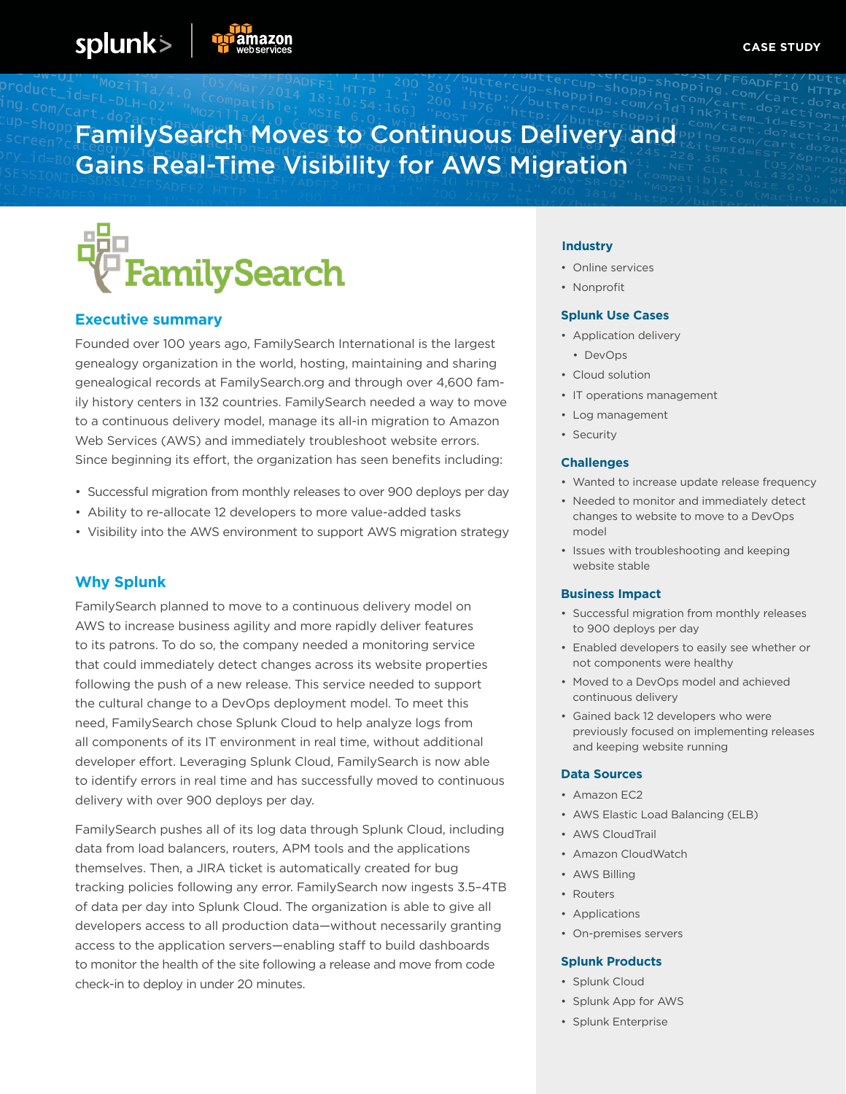# FamilySearch Moves to Continuous Delivery and Gains Real-Time Visibility for AWS Migration



# **Executive summary**

splunk>

Founded over 100 years ago, FamilySearch International is the largest genealogy organization in the world, hosting, maintaining and sharing genealogical records at FamilySearch.org and through over 4,600 family history centers in 132 countries. FamilySearch needed a way to move to a continuous delivery model, manage its all-in migration to Amazon Web Services (AWS) and immediately troubleshoot website errors. Since beginning its effort, the organization has seen benefits including:

- Successful migration from monthly releases to over 900 deploys per day
- Ability to re-allocate 12 developers to more value-added tasks
- Visibility into the AWS environment to support AWS migration strategy

# **Why Splunk**

FamilySearch planned to move to a continuous delivery model on AWS to increase business agility and more rapidly deliver features to its patrons. To do so, the company needed a monitoring service that could immediately detect changes across its website properties following the push of a new release. This service needed to support the cultural change to a DevOps deployment model. To meet this need, FamilySearch chose Splunk Cloud to help analyze logs from all components of its IT environment in real time, without additional developer effort. Leveraging Splunk Cloud, FamilySearch is now able to identify errors in real time and has successfully moved to continuous delivery with over 900 deploys per day.

FamilySearch pushes all of its log data through Splunk Cloud, including data from load balancers, routers, APM tools and the applications themselves. Then, a JIRA ticket is automatically created for bug tracking policies following any error. FamilySearch now ingests 3.5–4TB of data per day into Splunk Cloud. The organization is able to give all developers access to all production data—without necessarily granting access to the application servers—enabling staff to build dashboards to monitor the health of the site following a release and move from code check-in to deploy in under 20 minutes.

### **Industry**

- Online services
- Nonprofit

## **Splunk Use Cases**

- Application delivery
- DevOps
- Cloud solution
- IT operations management
- Log management
- Security

## **Challenges**

- Wanted to increase update release frequency
- Needed to monitor and immediately detect changes to website to move to a DevOps model
- Issues with troubleshooting and keeping website stable

#### **Business Impact**

- Successful migration from monthly releases to 900 deploys per day
- Enabled developers to easily see whether or not components were healthy
- Moved to a DevOps model and achieved continuous delivery
- Gained back 12 developers who were previously focused on implementing releases and keeping website running

#### **Data Sources**

- Amazon EC2
- AWS Elastic Load Balancing (ELB)
- AWS CloudTrail
- Amazon CloudWatch
- AWS Billing
- Routers
- Applications
- On-premises servers

#### **Splunk Products**

- Splunk Cloud
- Splunk App for AWS
- Splunk Enterprise